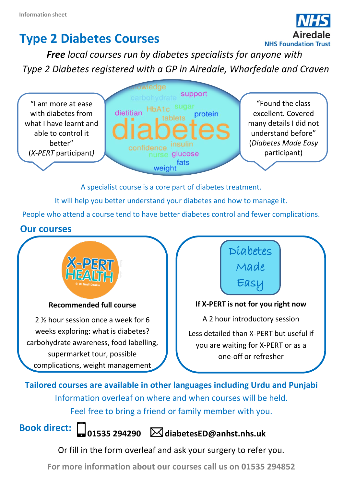# **Type 2 Diabetes Courses**



*Free local courses run by diabetes specialists for anyone with Type 2 Diabetes registered with a GP in Airedale, Wharfedale and Craven*

"I am more at ease with diabetes from what I have learnt and able to control it better" (*X-PERT* participant*)*



"Found the class excellent. Covered many details I did not understand before" (*Diabetes Made Easy*  participant)

A specialist course is a core part of diabetes treatment.

It will help you better understand your diabetes and how to manage it.

People who attend a course tend to have better diabetes control and fewer complications.

## **Our courses**



#### **Recommended full course**

2 ½ hour session once a week for 6 weeks exploring: what is diabetes? carbohydrate awareness, food labelling, supermarket tour, possible complications, weight management



#### **If X-PERT is not for you right now**

A 2 hour introductory session Less detailed than X-PERT but useful if you are waiting for X-PERT or as a one-off or refresher

**Tailored courses are available in other languages including Urdu and Punjabi** Information overleaf on where and when courses will be held. Feel free to bring a friend or family member with you.

**Book direct:**

**01535 294290 [diabetesED@anhst.nhs.uk](mailto:diabetesED@anhst.nhs.uk)**

Or fill in the form overleaf and ask your surgery to refer you.

**For more information about our courses call us on 01535 294852**